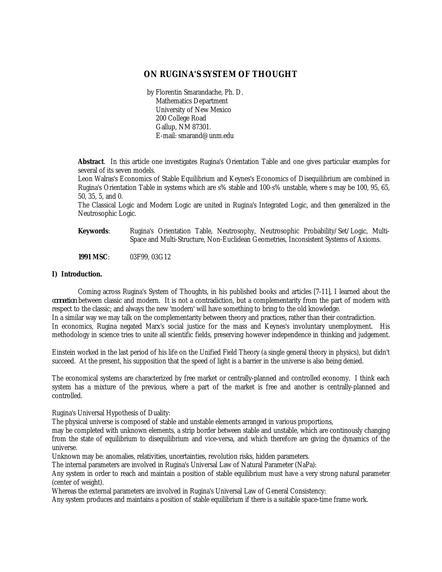# **ON RUGINA'S SYSTEM OF THOUGHT**

 by Florentin Smarandache, Ph. D. Mathematics Department University of New Mexico 200 College Road Gallup, NM 87301. E-mail: smarand@unm.edu

**Abstract**. In this article one investigates Rugina's Orientation Table and one gives particular examples for several of its seven models.

Leon Walras's Economics of Stable Equilibrium and Keynes's Economics of Disequilibrium are combined in Rugina's Orientation Table in systems which are s% stable and 100-s% unstable, where s may be 100, 95, 65, 50, 35, 5, and 0.

The Classical Logic and Modern Logic are united in Rugina's Integrated Logic, and then generalized in the Neutrosophic Logic.

**Keywords**: Rugina's Orientation Table, Neutrosophy, Neutrosophic Probability/Set/Logic, Multi-Space and Multi-Structure, Non-Euclidean Geometries, Inconsistent Systems of Axioms.

**1991 MSC:** 03F99, 03G12

#### **I) Introduction.**

Coming across Rugina's System of Thoughts, in his published books and articles [7-11], I learned about the *connection* between classic and modern. It is not a contradiction, but a complementarity from the part of modern with respect to the classic; and always the new 'modern' will have something to bring to the old knowledge.

In a similar way we may talk on the complementarity between theory and practices, rather than their contradiction. In economics, Rugina negated Marx's social justice for the mass and Keynes's involuntary unemployment. His methodology in science tries to unite all scientific fields, preserving however independence in thinking and judgement.

Einstein worked in the last period of his life on the Unified Field Theory (a single general theory in physics), but didn't succeed. At the present, his supposition that the speed of light is a barrier in the universe is also being denied.

The economical systems are characterized by free market or centrally-planned and controlled economy. I think each system has a mixture of the previous, where a part of the market is free and another is centrally-planned and controlled.

Rugina's Universal Hypothesis of Duality:

The physical universe is composed of stable and unstable elements arranged in various proportions,

may be completed with unknown elements, a strip border between stable and unstable, which are continously changing from the state of equilibrium to disequilibrium and vice-versa, and which therefore are giving the dynamics of the universe.

Unknown may be: anomalies, relativities, uncertainties, revolution risks, hidden parameters.

The internal parameters are involved in Rugina's Universal Law of Natural Parameter (NaPa):

Any system in order to reach and maintain a position of stable equilibrium must have a very strong natural parameter (center of weight).

Whereas the external parameters are involved in Rugina's Universal Law of General Consistency:

Any system produces and maintains a position of stable equilibrium if there is a suitable space-time frame work.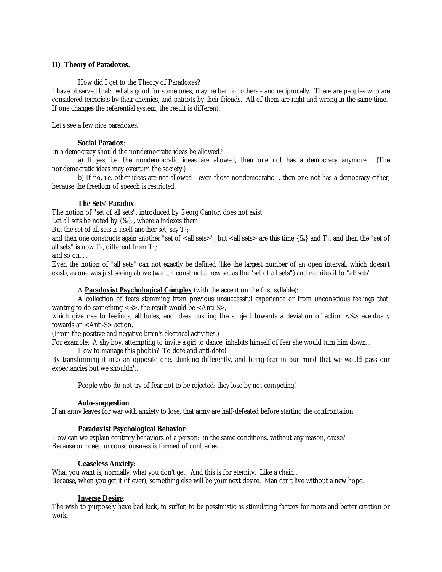## **II) Theory of Paradoxes.**

How did I get to the Theory of Paradoxes?

I have observed that: what's good for some ones, may be bad for others - and reciprocally. There are peoples who are considered terrorists by their enemies, and patriots by their friends. All of them are right and wrong in the same time. If one changes the referential system, the result is different.

Let's see a few nice paradoxes:

## **Social Paradox**:

In a democracy should the nondemocratic ideas be allowed?

a) If yes, i.e. the nondemocratic ideas are allowed, then one not has a democracy anymore. (The nondemocratic ideas may overturn the society.)

b) If no, i.e. other ideas are not allowed - even those nondemocratic -, then one not has a democracy either, because the freedom of speech is restricted.

## **The Sets' Paradox**:

The notion of "set of all sets", introduced by Georg Cantor, does not exist.

Let all sets be noted by  ${S_a}_a$ , where a indexes them.

But the set of all sets is itself another set, say  $T_1$ ;

and then one constructs again another "set of <all sets>", but <all sets> are this time  $\{S_a\}$  and  $T_1$ , and then the "set of all sets" is now  $T_2$ , different from  $T_1$ ;

and so on... .

Even the notion of "all sets" can not exactly be defined (like the largest number of an open interval, which doesn't exist), as one was just seeing above (we can construct a new set as the "set of all sets") and reunites it to "all sets".

## A **Paradoxist Psychological Cómplex** (with the accent on the first syllable):

A collection of fears stemming from previous unsuccessful experience or from unconscious feelings that, wanting to do something  $\langle S \rangle$ , the result would be  $\langle Anti-S \rangle$ ,

which give rise to feelings, attitudes, and ideas pushing the subject towards a deviation of action  $\langle S \rangle$  eventually towards an <Anti-S> action.

(From the positive and negative brain's electrical activities.)

For example: A shy boy, attempting to invite a girl to dance, inhabits himself of fear she would turn him down...

How to manage this phobia? To dote and anti-dote!

By transforming it into an opposite one, thinking differently, and being fear in our mind that we would pass our expectancies but we shouldn't.

People who do not try of fear not to be rejected: they lose by not competing!

#### **Auto-suggestion**:

If an army leaves for war with anxiety to lose, that army are half-defeated before starting the confrontation.

## **Paradoxist Psychological Behavior**:

How can we explain contrary behaviors of a person: in the same conditions, without any reason, cause? Because our deep unconsciousness is formed of contraries.

## **Ceaseless Anxiety**:

What you want is, normally, what you don't get. And this is for eternity. Like a chain... Because, when you get it (if ever), something else will be your next desire. Man can't live without a new hope.

#### **Inverse Desire**:

The wish to purposely have bad luck, to suffer, to be pessimistic as stimulating factors for more and better creation or work.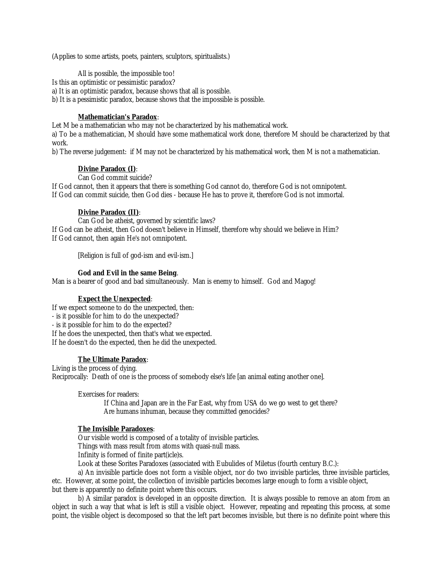(Applies to some artists, poets, painters, sculptors, spiritualists.)

All is possible, the impossible too!

Is this an optimistic or pessimistic paradox?

a) It is an optimistic paradox, because shows that all is possible.

b) It is a pessimistic paradox, because shows that the impossible is possible.

#### **Mathematician's Paradox**:

Let M be a mathematician who may not be characterized by his mathematical work.

a) To be a mathematician, M should have some mathematical work done, therefore M should be characterized by that work.

b) The reverse judgement: if M may not be characterized by his mathematical work, then M is not a mathematician.

## **Divine Paradox (I)**:

Can God commit suicide?

If God cannot, then it appears that there is something God cannot do, therefore God is not omnipotent. If God can commit suicide, then God dies - because He has to prove it, therefore God is not immortal.

#### **Divine Paradox (II)**:

Can God be atheist, governed by scientific laws?

If God can be atheist, then God doesn't believe in Himself, therefore why should we believe in Him? If God cannot, then again He's not omnipotent.

[Religion is full of god-ism and evil-ism.]

#### **God and Evil in the same Being**.

Man is a bearer of good and bad simultaneously. Man is enemy to himself. God and Magog!

## **Expect the Unexpected**:

If we expect someone to do the unexpected, then: - is it possible for him to do the unexpected? - is it possible for him to do the expected? If he does the unexpected, then that's what we expected. If he doesn't do the expected, then he did the unexpected.

## **The Ultimate Paradox**:

Living is the process of dying. Reciprocally: Death of one is the process of somebody else's life [an animal eating another one].

Exercises for readers:

If China and Japan are in the Far East, why from USA do we go west to get there? Are humans inhuman, because they committed genocides?

## **The Invisible Paradoxes**:

Our visible world is composed of a totality of invisible particles. Things with mass result from atoms with quasi-null mass.

Infinity is formed of finite part(icle)s.

Look at these Sorites Paradoxes (associated with Eubulides of Miletus (fourth century B.C.):

a) An invisible particle does not form a visible object, nor do two invisible particles, three invisible particles, etc. However, at some point, the collection of invisible particles becomes large enough to form a visible object,

but there is apparently no definite point where this occurs.

b) A similar paradox is developed in an opposite direction. It is always possible to remove an atom from an object in such a way that what is left is still a visible object. However, repeating and repeating this process, at some point, the visible object is decomposed so that the left part becomes invisible, but there is no definite point where this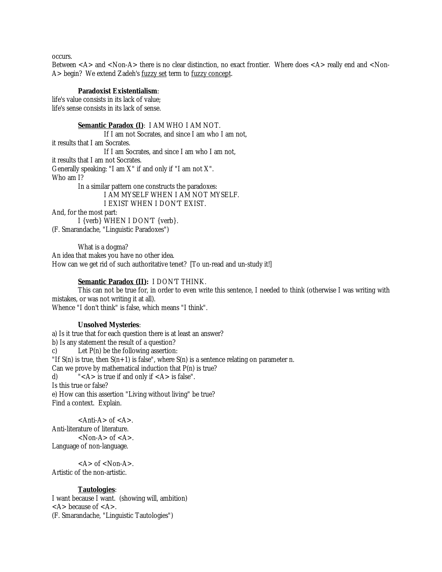occurs.

Between  $\langle A \rangle$  and  $\langle Non-A \rangle$  there is no clear distinction, no exact frontier. Where does  $\langle A \rangle$  really end and  $\langle Non-A \rangle$ A> begin? We extend Zadeh's fuzzy set term to fuzzy concept.

#### **Paradoxist Existentialism**:

life's value consists in its lack of value; life's sense consists in its lack of sense.

#### **Semantic Paradox (I)**: I AM WHO I AM NOT.

If I am not Socrates, and since I am who I am not, it results that I am Socrates. If I am Socrates, and since I am who I am not, it results that I am not Socrates. Generally speaking: "I am  $X$ " if and only if "I am not  $X$ ". Who am I? In a similar pattern one constructs the paradoxes: I AM MYSELF WHEN I AM NOT MYSELF. I EXIST WHEN I DON'T EXIST. And, for the most part: I {verb} WHEN I DON'T {verb}.

(F. Smarandache, "Linguistic Paradoxes")

What is a dogma? An idea that makes you have no other idea. How can we get rid of such authoritative tenet? [To un-read and un-study it!]

#### **Semantic Paradox (II):** I DON'T THINK.

This can not be true for, in order to even write this sentence, I needed to think (otherwise I was writing with mistakes, or was not writing it at all). Whence "I don't think" is false, which means "I think".

#### **Unsolved Mysteries**:

a) Is it true that for each question there is at least an answer? b) Is any statement the result of a question? c) Let  $P(n)$  be the following assertion: "If  $S(n)$  is true, then  $S(n+1)$  is false", where  $S(n)$  is a sentence relating on parameter n. Can we prove by mathematical induction that P(n) is true? d)  $\qquad$  "<A > is true if and only if <A > is false". Is this true or false? e) How can this assertion "Living without living" be true? Find a context. Explain.

 $\langle$ Anti-A $>$  of  $\langle$ A $>$ Anti-literature of literature. <Non-A> of <A>. Language of non-language.

 $<$ A $>$  of  $<$ Non-A $>$ . Artistic of the non-artistic.

#### **Tautologies**:

I want because I want. (showing will, ambition)  $\langle A \rangle$  because of  $\langle A \rangle$ . (F. Smarandache, "Linguistic Tautologies")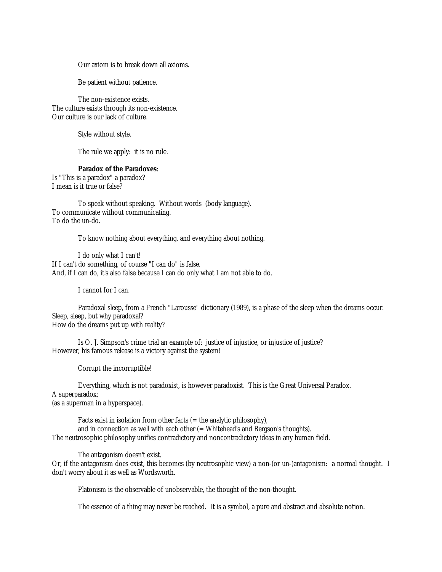Our axiom is to break down all axioms.

Be patient without patience.

The non-existence exists. The culture exists through its non-existence. Our culture is our lack of culture.

Style without style.

The rule we apply: it is no rule.

**Paradox of the Paradoxes**:

Is "This is a paradox" a paradox? I mean is it true or false?

To speak without speaking. Without words (body language). To communicate without communicating. To do the un-do.

To know nothing about everything, and everything about nothing.

I do only what I can't! If I can't do something, of course "I can do" is false. And, if I can do, it's also false because I can do only what I am not able to do.

I cannot for I can.

Paradoxal sleep, from a French "Larousse" dictionary (1989), is a phase of the sleep when the dreams occur. Sleep, sleep, but why paradoxal? How do the dreams put up with reality?

Is O. J. Simpson's crime trial an example of: justice of injustice, or injustice of justice? However, his famous release is a victory against the system!

Corrupt the incorruptible!

Everything, which is not paradoxist, is however paradoxist. This is the Great Universal Paradox. A superparadox; (as a superman in a hyperspace).

Facts exist in isolation from other facts  $(=$  the analytic philosophy), and in connection as well with each other  $($  = Whitehead's and Bergson's thoughts). The neutrosophic philosophy unifies contradictory and noncontradictory ideas in any human field.

The antagonism doesn't exist.

Or, if the antagonism does exist, this becomes (by neutrosophic view) a non-(or un-)antagonism: a normal thought. I don't worry about it as well as Wordsworth.

Platonism is the observable of unobservable, the thought of the non-thought.

The essence of a thing may never be reached. It is a symbol, a pure and abstract and absolute notion.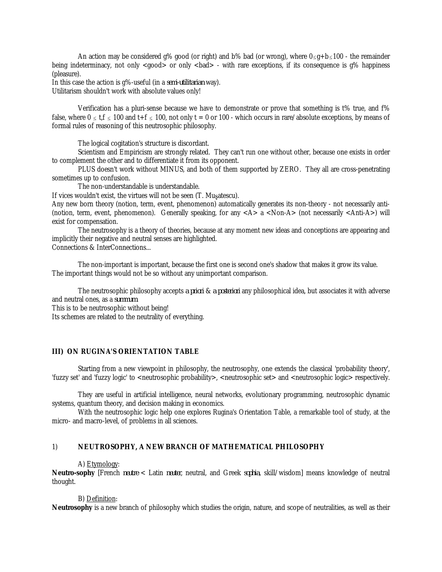An action may be considered g% good (or right) and b% bad (or wrong), where  $0 \le g+b \le 100$  - the remainder being indeterminacy, not only  $\langle 8 \rangle$   $\langle 9 \rangle$  or only  $\langle 9 \rangle$  - with rare exceptions, if its consequence is g% happiness (pleasure).

In this case the action is g%-useful (in a *semi-utilitarian* way).

Utilitarism shouldn't work with absolute values only!

Verification has a pluri-sense because we have to demonstrate or prove that something is t% true, and f% false, where  $0 \le t$ ,  $f \le 100$  and  $t+f \le 100$ , not only  $t = 0$  or 100 - which occurs in rare/absolute exceptions, by means of formal rules of reasoning of this neutrosophic philosophy.

The logical cogitation's structure is discordant.

Scientism and Empiricism are strongly related. They can't run one without other, because one exists in order to complement the other and to differentiate it from its opponent.

PLUS doesn't work without MINUS, and both of them supported by ZERO. They all are cross-penetrating sometimes up to confusion.

The non-understandable is understandable.

If vices wouldn't exist, the virtues will not be seen (T. Musatescu).

Any new born theory (notion, term, event, phenomenon) automatically generates its non-theory - not necessarily anti- (notion, term, event, phenomenon). Generally speaking, for any  $\langle A \rangle$  a  $\langle Non-A \rangle$  (not necessarily  $\langle Anti-A \rangle$ ) will exist for compensation.

The neutrosophy is a theory of theories, because at any moment new ideas and conceptions are appearing and implicitly their negative and neutral senses are highlighted.

Connections & InterConnections...

The non-important is important, because the first one is second one's shadow that makes it grow its value. The important things would not be so without any unimportant comparison.

The neutrosophic philosophy accepts *a priori* & *a posteriori* any philosophical idea, but associates it with adverse and neutral ones, as a *summum*.

This is to be neutrosophic without being!

Its schemes are related to the neutrality of everything.

#### **III) ON RUGINA'S ORIENTATION TABLE**

Starting from a new viewpoint in philosophy, the neutrosophy, one extends the classical 'probability theory', 'fuzzy set' and 'fuzzy logic' to <neutrosophic probability>, <neutrosophic set> and <neutrosophic logic> respectively.

They are useful in artificial intelligence, neural networks, evolutionary programming, neutrosophic dynamic systems, quantum theory, and decision making in economics.

With the neutrosophic logic help one explores Rugina's Orientation Table, a remarkable tool of study, at the micro- and macro-level, of problems in all sciences.

## 1) **NEUTROSOPHY, A NEW BRANCH OF MATHEMATICAL PHILOSOPHY**

#### A) Etymology:

**Neutro-sophy** [French *neutre* < Latin *neuter*, neutral, and Greek *sophia*, skill/wisdom] means knowledge of neutral thought.

#### B) Definition:

**Neutrosophy** is a new branch of philosophy which studies the origin, nature, and scope of neutralities, as well as their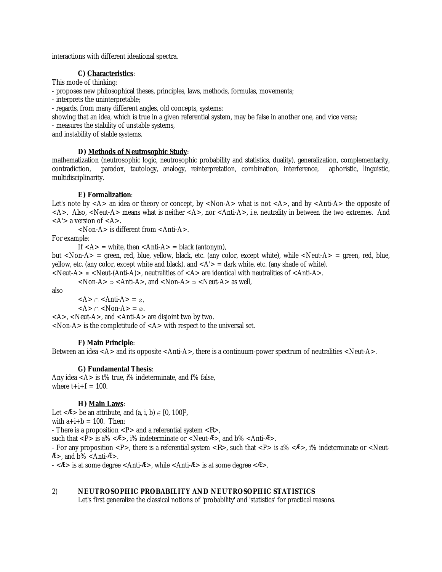interactions with different ideational spectra.

# **C) Characteristics**:

This mode of thinking:

- proposes new philosophical theses, principles, laws, methods, formulas, movements;

- interprets the uninterpretable;

- regards, from many different angles, old concepts, systems:

showing that an idea, which is true in a given referential system, may be false in another one, and vice versa;

- measures the stability of unstable systems,

and instability of stable systems.

## **D) Methods of Neutrosophic Study**:

mathematization (neutrosophic logic, neutrosophic probability and statistics, duality), generalization, complementarity, contradiction, paradox, tautology, analogy, reinterpretation, combination, interference, aphoristic, linguistic, multidisciplinarity.

## **E) Formalization**:

Let's note by  $\langle A \rangle$  an idea or theory or concept, by  $\langle Non-A \rangle$  what is not  $\langle A \rangle$ , and by  $\langle Anti-A \rangle$  the opposite of  $\langle A \rangle$ . Also,  $\langle$ Neut-A $\rangle$  means what is neither  $\langle A \rangle$ , nor  $\langle$ Anti-A $\rangle$ , i.e. neutrality in between the two extremes. And  $\langle A \rangle$  a version of  $\langle A \rangle$ .

 $<$ Non-A $>$  is different from  $<$ Anti-A $>$ .

For example:

If  $\langle A \rangle$  = white, then  $\langle$ Anti-A $\rangle$  = black (antonym),

but  $\langle \text{Non-A}\rangle$  = green, red, blue, yellow, black, etc. (any color, except white), while  $\langle \text{Neut-A}\rangle$  = green, red, blue, yellow, etc. (any color, except white and black), and  $\langle A' \rangle$  = dark white, etc. (any shade of white).

 $\langle$ Neut-A $\rangle$  =  $\langle$ Neut-(Anti-A $\rangle$ ), neutralities of  $\langle$ A $\rangle$  are identical with neutralities of  $\langle$ Anti-A $\rangle$ .

 $<$ Non-A $>$   $\supset$   $<$ Anti-A $>$ , and  $<$ Non-A $>$   $\supset$   $<$ Neut-A $>$  as well,

also

 $\langle A \rangle \cap \langle \text{Anti-A} \rangle = \emptyset$ .

 $\langle A \rangle \cap \langle \text{Non-A} \rangle = \emptyset$ .

<A>, <Neut-A>, and <Anti-A> are disjoint two by two. <Non-A> is the completitude of <A> with respect to the universal set.

## **F) Main Principle**:

Between an idea <A> and its opposite <Anti-A>, there is a continuum-power spectrum of neutralities <Neut-A>.

## **G) Fundamental Thesis**:

Any idea  $<$  A $>$  is t% true, i% indeterminate, and f% false, where  $t+i+f = 100$ .

## **H) Main Laws**:

Let  $\langle E \rangle$  be an attribute, and  $(a, i, b) \in [0, 100]^3$ ,

with  $a+i+b = 100$ . Then:

- There is a proposition <P> and a referential system <*R*>,

such that  $\langle P \rangle$  is a%  $\langle E \rangle$ , i% indeterminate or  $\langle N$ eut- $E \rangle$ , and b%  $\langle$ Anti- $E \rangle$ .

- For any proposition <P>, there is a referential system <*R*>, such that <P> is a% <*E*>, i% indeterminate or <Neut- $E$ , and  $b\%$  < Anti- $E$ ,

 $-$  <  $\&$  > is at some degree < Anti- $\&$  >, while < Anti- $\&$  > is at some degree <  $\&$  >.

## 2) **NEUTROSOPHIC PROBABILITY AND NEUTROSOPHIC STATISTICS**

Let's first generalize the classical notions of 'probability' and 'statistics' for practical reasons.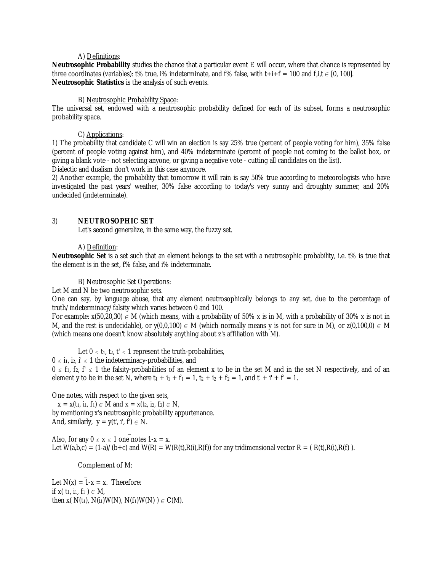#### A) Definitions:

**Neutrosophic Probability** studies the chance that a particular event E will occur, where that chance is represented by three coordinates (variables): t% true, i% indeterminate, and f% false, with t+i+f = 100 and f,i,t  $\in$  [0, 100]. **Neutrosophic Statistics** is the analysis of such events.

#### B) Neutrosophic Probability Space:

The universal set, endowed with a neutrosophic probability defined for each of its subset, forms a neutrosophic probability space.

#### C) Applications:

1) The probability that candidate C will win an election is say 25% true (percent of people voting for him), 35% false (percent of people voting against him), and 40% indeterminate (percent of people not coming to the ballot box, or giving a blank vote - not selecting anyone, or giving a negative vote - cutting all candidates on the list).

Dialectic and dualism don't work in this case anymore.

2) Another example, the probability that tomorrow it will rain is say 50% true according to meteorologists who have investigated the past years' weather, 30% false according to today's very sunny and droughty summer, and 20% undecided (indeterminate).

## 3) **NEUTROSOPHIC SET**

Let's second generalize, in the same way, the fuzzy set.

## A) Definition:

**Neutrosophic Set** is a set such that an element belongs to the set with a neutrosophic probability, i.e. t% is true that the element is in the set, f% false, and i% indeterminate.

B) Neutrosophic Set Operations:

Let M and N be two neutrosophic sets.

One can say, by language abuse, that any element neutrosophically belongs to any set, due to the percentage of truth/indeterminacy/falsity which varies between 0 and 100.

For example:  $x(50,20,30) \in M$  (which means, with a probability of 50% x is in M, with a probability of 30% x is not in M, and the rest is undecidable), or  $y(0,0,100) \in M$  (which normally means y is not for sure in M), or  $z(0,100,0) \in M$ (which means one doesn't know absolutely anything about z's affiliation with M).

Let  $0 \le t_1, t_2, t' \le 1$  represent the truth-probabilities,

 $0 \le i_1, i_2, i' \le 1$  the indeterminacy-probabilities, and

 $0 \le f_1, f_2, f \le 1$  the falsity-probabilities of an element x to be in the set M and in the set N respectively, and of an element y to be in the set  $N$ , where  $t_1 + i_1 + f_1 = 1$ ,  $t_2 + i_2 + f_2 = 1$ , and  $t' + i' + f' = 1$ .

One notes, with respect to the given sets,

 $x = x(t_1, i_1, f_1) \in M$  and  $x = x(t_2, i_2, f_2) \in N$ , by mentioning x's neutrosophic probability appurtenance. And, similarly,  $y = y(t', i', f') \in N$ .

 \_ Also, for any  $0 \le x \le 1$  one notes  $1-x = x$ . Let  $W(a,b,c) = (1-a)/(b+c)$  and  $W(R) = W(R(t),R(t),R(f))$  for any tridimensional vector  $R = (R(t),R(t),R(f))$ .

Complement of M:

 $\sim$ 

Let  $N(x) = 1-x = x$ . Therefore: if  $x(t_1, i_1, f_1) \in M$ , then  $x(N(t_1), N(t_1)W(N), N(t_1)W(N)) \in C(M)$ .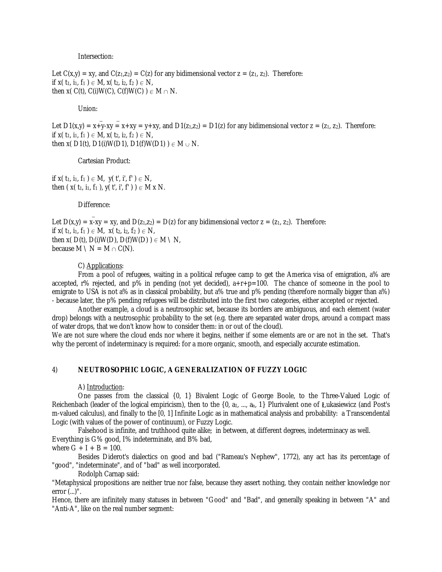#### Intersection:

Let  $C(x,y) = xy$ , and  $C(z_1,z_2) = C(z)$  for any bidimensional vector  $z = (z_1, z_2)$ . Therefore: if  $x(t_1, i_1, f_1) \in M$ ,  $x(t_2, i_2, f_2) \in N$ , then  $x(C(t), C(i)W(C), C(f)W(C)) \in M \cap N$ .

Union:

 $\sim$   $\sim$   $\sim$   $\sim$   $\sim$ Let  $D1(x,y) = x+y-xy = x+xy = y+xy$ , and  $D1(z_1,z_2) = D1(z)$  for any bidimensional vector  $z = (z_1, z_2)$ . Therefore: if  $x(t_1, i_1, f_1) \in M$ ,  $x(t_2, i_2, f_2) \in N$ , then  $x(D1(t), D1(i)W(D1), D1(f)W(D1)) \in M \cup N$ .

Cartesian Product:

if  $x(t_1, i_1, f_1) \in M$ ,  $y(t', i', f') \in N$ , then  $(x(t_1, i_1, f_1), y(t', i', f')) \in M x N$ .

Difference:

 $\sim$   $\sim$   $\sim$ Let  $D(x,y) = x-xy = xy$ , and  $D(z_1,z_2) = D(z)$  for any bidimensional vector  $z = (z_1, z_2)$ . Therefore: if  $x(t_1, i_1, f_1) \in M$ ,  $x(t_2, i_2, f_2) \in N$ , then  $x(D(t), D(i)W(D), D(f)W(D)) \in M \setminus N$ , because  $M \setminus N = M \cap C(N)$ .

#### C) Applications:

From a pool of refugees, waiting in a political refugee camp to get the America visa of emigration, a% are accepted, r% rejected, and  $p\%$  in pending (not yet decided),  $a+r+p=100$ . The chance of someone in the pool to emigrate to USA is not a% as in classical probability, but a% true and p% pending (therefore normally bigger than a%) - because later, the p% pending refugees will be distributed into the first two categories, either accepted or rejected.

Another example, a cloud is a neutrosophic set, because its borders are ambiguous, and each element (water drop) belongs with a neutrosophic probability to the set (e.g. there are separated water drops, around a compact mass of water drops, that we don't know how to consider them: in or out of the cloud).

We are not sure where the cloud ends nor where it begins, neither if some elements are or are not in the set. That's why the percent of indeterminacy is required: for a more organic, smooth, and especially accurate estimation.

## 4) **NEUTROSOPHIC LOGIC, A GENERALIZATION OF FUZZY LOGIC**

A) Introduction:

One passes from the classical {0, 1} Bivalent Logic of George Boole, to the Three-Valued Logic of Reichenbach (leader of the logical empiricism), then to the  $\{0, a_1, ..., a_n, 1\}$  Plurivalent one of Łukasiewicz (and Post's m-valued calculus), and finally to the [0, 1] Infinite Logic as in mathematical analysis and probability: a Transcendental Logic (with values of the power of continuum), or Fuzzy Logic.

Falsehood is infinite, and truthhood quite alike; in between, at different degrees, indeterminacy as well. Everything is G% good, I% indeterminate, and B% bad,

where  $G + I + B = 100$ .

Besides Diderot's dialectics on good and bad ("Rameau's Nephew", 1772), any act has its percentage of "good", "indeterminate", and of "bad" as well incorporated.

Rodolph Carnap said:

"Metaphysical propositions are neither true nor false, because they assert nothing, they contain neither knowledge nor error (...)".

Hence, there are infinitely many statuses in between "Good" and "Bad", and generally speaking in between "A" and "Anti-A", like on the real number segment: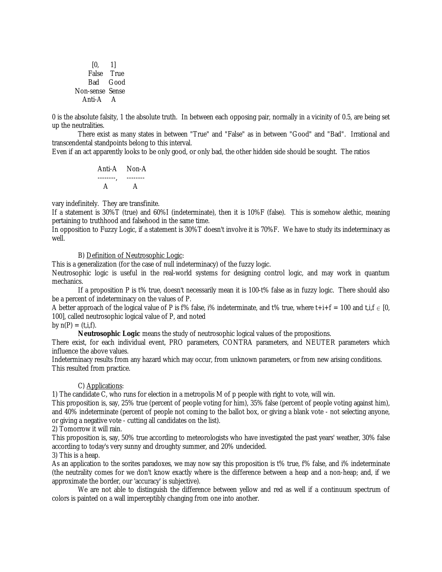[0, 1] False True Bad Good Non-sense Sense Anti-A A

0 is the absolute falsity, 1 the absolute truth. In between each opposing pair, normally in a vicinity of 0.5, are being set up the neutralities.

There exist as many states in between "True" and "False" as in between "Good" and "Bad". Irrational and transcendental standpoints belong to this interval.

Even if an act apparently looks to be only good, or only bad, the other hidden side should be sought. The ratios

 Anti-A Non-A --------, -------- A A

vary indefinitely. They are transfinite.

If a statement is 30%T (true) and 60%I (indeterminate), then it is 10%F (false). This is somehow alethic, meaning pertaining to truthhood and falsehood in the same time.

In opposition to Fuzzy Logic, if a statement is 30%T doesn't involve it is 70%F. We have to study its indeterminacy as well.

B) Definition of Neutrosophic Logic:

This is a generalization (for the case of null indeterminacy) of the fuzzy logic.

Neutrosophic logic is useful in the real-world systems for designing control logic, and may work in quantum mechanics.

If a proposition P is t% true, doesn't necessarily mean it is 100-t% false as in fuzzy logic. There should also be a percent of indeterminacy on the values of P.

A better approach of the logical value of P is f% false, i% indeterminate, and t% true, where  $t+i+f = 100$  and  $t,i,f \in [0, 1]$ 100], called neutrosophic logical value of P, and noted

by  $n(P) = (t,i,f)$ .

**Neutrosophic Logic** means the study of neutrosophic logical values of the propositions.

There exist, for each individual event, PRO parameters, CONTRA parameters, and NEUTER parameters which influence the above values.

Indeterminacy results from any hazard which may occur, from unknown parameters, or from new arising conditions. This resulted from practice.

#### C) Applications:

1) The candidate C, who runs for election in a metropolis M of p people with right to vote, will win.

This proposition is, say, 25% true (percent of people voting for him), 35% false (percent of people voting against him), and 40% indeterminate (percent of people not coming to the ballot box, or giving a blank vote - not selecting anyone, or giving a negative vote - cutting all candidates on the list).

2) Tomorrow it will rain.

This proposition is, say, 50% true according to meteorologists who have investigated the past years' weather, 30% false according to today's very sunny and droughty summer, and 20% undecided.

3) This is a heap.

As an application to the sorites paradoxes, we may now say this proposition is t% true, f% false, and i% indeterminate (the neutrality comes for we don't know exactly where is the difference between a heap and a non-heap; and, if we approximate the border, our 'accuracy' is subjective).

We are not able to distinguish the difference between yellow and red as well if a continuum spectrum of colors is painted on a wall imperceptibly changing from one into another.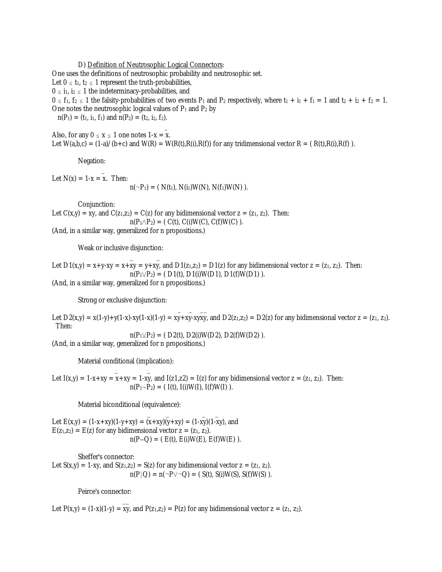D) Definition of Neutrosophic Logical Connectors:

One uses the definitions of neutrosophic probability and neutrosophic set.

Let  $0 \le t_1, t_2 \le 1$  represent the truth-probabilities,

 $0 \le i_1, i_2 \le 1$  the indeterminacy-probabilities, and

 $0 \le f_1, f_2 \le 1$  the falsity-probabilities of two events P<sub>1</sub> and P<sub>2</sub> respectively, where  $t_1 + i_1 + f_1 = 1$  and  $t_2 + i_2 + f_2 = 1$ . One notes the neutrosophic logical values of  $P_1$  and  $P_2$  by

 $n(P_1) = (t_1, i_1, f_1)$  and  $n(P_2) = (t_2, i_2, f_2)$ . \_

Also, for any  $0 \le x \le 1$  one notes  $1-x = x$ . Let  $W(a,b,c) = (1-a)/(b+c)$  and  $W(R) = W(R(t),R(i),R(f))$  for any tridimensional vector  $R = (R(t),R(i),R(f))$ .

Negation:

 $\sim$   $\sim$   $\sim$   $\sim$   $\sim$ Let  $N(x) = 1-x = x$ . Then:  $n(\neg P_1) = ( N(t_1), N(t_1)W(N), N(t_1)W(N) ).$ 

Conjunction:

Let  $C(x,y) = xy$ , and  $C(z_1,z_2) = C(z)$  for any bidimensional vector  $z = (z_1, z_2)$ . Then:  $n(P_1 \wedge P_2) = ( C(t), C(i)W(C), C(f)W(C) ).$ 

(And, in a similar way, generalized for n propositions.)

Weak or inclusive disjunction:

\_ \_ \_ \_ \_ \_ \_ \_ \_ \_ \_ \_ \_ \_ \_ \_ \_ Let  $D1(x,y) = x+y-xy = x+xy = y+xy$ , and  $D1(z_1,z_2) = D1(z)$  for any bidimensional vector  $z = (z_1, z_2)$ . Then:  $n(P_1 \vee P_2) = ( D1(t), D1(t)W(D1), D1(t)W(D1) ).$ (And, in a similar way, generalized for n propositions.)

Strong or exclusive disjunction:

 \_ \_ \_\_ Let  $D2(x,y) = x(1-y)+y(1-x)-xy(1-x)(1-y) = xy+xy-xyxy$ , and  $D2(z_1,z_2) = D2(z)$  for any bidimensional vector  $z = (z_1, z_2)$ . Then:

 $n(P_1 \vee P_2) = (D2(t), D2(t)W(D2), D2(f)W(D2))$ .

(And, in a similar way, generalized for n propositions.)

Material conditional (implication):

\_ \_ \_ \_ \_ \_ \_ \_ \_ \_ \_ \_ \_ \_ \_ Let  $I(x,y) = 1-x+xy = x+xy = 1-xy$ , and  $I(z1,z2) = I(z)$  for any bidimensional vector  $z = (z_1, z_2)$ . Then:  $n(P_1 \rightarrow P_2) = ( I(t), I(t)W(I), I(f)W(I) ).$ 

Material biconditional (equivalence):

 \_ \_ \_ \_ Let  $E(x,y) = (1-x+xy)(1-y+xy) = (x+xy)(y+xy) = (1-xy)(1-xy)$ , and  $E(z_1,z_2) = E(z)$  for any bidimensional vector  $z = (z_1, z_2)$ .  $n(P \rightarrow Q) = (E(t), E(i)W(E), E(f)W(E)).$ 

Sheffer's connector: Let  $S(x,y) = 1-xy$ , and  $S(z_1,z_2) = S(z)$  for any bidimensional vector  $z = (z_1, z_2)$ .  $n(P|Q) = n(\neg P \lor \neg Q) = ( S(t), S(i)W(S), S(f)W(S) ).$ 

Peirce's connector:

 \_\_ Let  $P(x,y) = (1-x)(1-y) = xy$ , and  $P(z_1,z_2) = P(z)$  for any bidimensional vector  $z = (z_1, z_2)$ .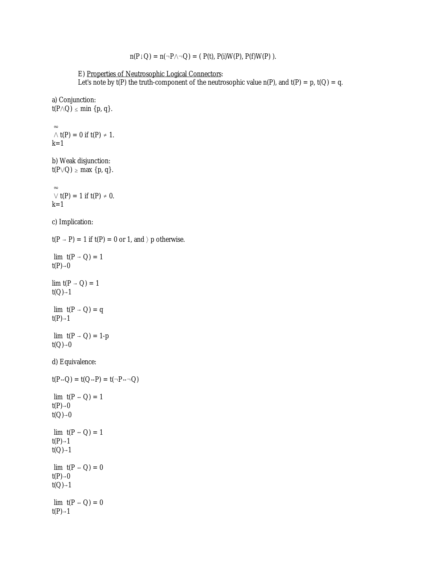$n(P \downarrow Q) = n(\neg P \land \neg Q) = ( P(t), P(i)W(P), P(f)W(P) ).$ 

E) Properties of Neutrosophic Logical Connectors:

Let's note by  $t(P)$  the truth-component of the neutrosophic value n(P), and  $t(P) = p$ ,  $t(Q) = q$ .

a) Conjunction:  $t(P \wedge Q) \leq min \{p, q\}.$  $\infty$  $\wedge$  t(P) = 0 if t(P)  $\neq$  1.  $k=1$ b) Weak disjunction:  $t(P \vee Q) \geq max \{p, q\}.$  $\infty$  $\vee$  t(P) = 1 if t(P)  $\neq$  0.  $k=1$ c) Implication:  $t(P \rightarrow P) = 1$  if  $t(P) = 0$  or 1, and  $\rangle$  p otherwise.  $\lim t(P \to Q) = 1$  $t(P) \rightarrow 0$  $\lim t(P \to Q) = 1$  $t(Q) \rightarrow 1$  $\lim f(P \to Q) = q$  $t(P) \rightarrow 1$  $\lim f(P \to Q) = 1-p$  $t(Q) \rightarrow 0$ d) Equivalence:  $t(P \rightarrow Q) = t(Q \rightarrow P) = t(\neg P \rightarrow \neg Q)$  $\lim \ t(P \, \cdot \, Q) = 1$  $t(P) \rightarrow 0$  $t(Q) \rightarrow 0$  $\lim f(P \leftrightarrow Q) = 1$  $t(P) \rightarrow 1$  $t(Q) \rightarrow 1$  $\lim f(P \leftrightarrow Q) = 0$  $t(P) \rightarrow 0$  $t(Q) \rightarrow 1$  $\lim f(P \leftrightarrow Q) = 0$  $t(P) \rightarrow 1$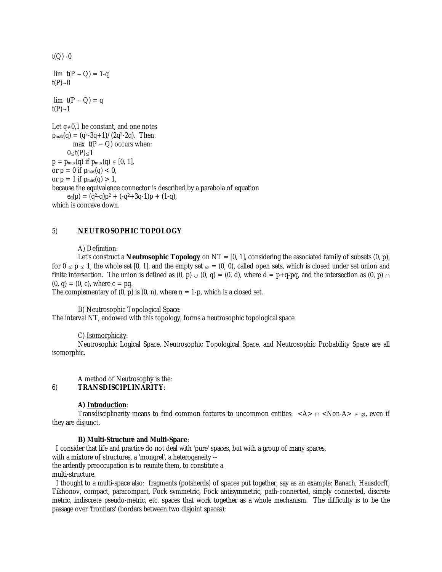$t(Q) \rightarrow 0$  $\lim f(P \leftrightarrow Q) = 1-q$  $t(P) \rightarrow 0$  $\lim f(P \cdot Q) = q$  $t(P) \rightarrow 1$ Let  $q \neq 0, 1$  be constant, and one notes  $p_{max}(q) = (q^2-3q+1)/(2q^2-2q)$ . Then: max  $t(P \leftrightarrow Q)$  occurs when:  $0 < t(P) < 1$  $p = p_{max}(q)$  if  $p_{max}(q) \in [0, 1]$ , or  $p = 0$  if  $p_{max}(q) < 0$ , or  $p = 1$  if  $p_{max}(q) > 1$ , because the equivalence connector is described by a parabola of equation  $e_q(p) = (q^2-q)p^2 + (-q^2+3q-1)p + (1-q),$ which is concave down.

## 5) **NEUTROSOPHIC TOPOLOGY**

#### A) Definition:

Let's construct a **Neutrosophic Topology** on NT = [0, 1], considering the associated family of subsets (0, p), for  $0 \le p \le 1$ , the whole set [0, 1], and the empty set  $\emptyset = (0, 0)$ , called open sets, which is closed under set union and finite intersection. The union is defined as  $(0, p) \cup (0, q) = (0, d)$ , where  $d = p+q$ -pq, and the intersection as  $(0, p) \cap$  $(0, q) = (0, c)$ , where  $c = pq$ .

The complementary of  $(0, p)$  is  $(0, n)$ , where  $n = 1-p$ , which is a closed set.

B) Neutrosophic Topological Space:

The interval NT, endowed with this topology, forms a neutrosophic topological space.

#### C) Isomorphicity:

Neutrosophic Logical Space, Neutrosophic Topological Space, and Neutrosophic Probability Space are all isomorphic.

A method of Neutrosophy is the:

# 6) **TRANSDISCIPLINARITY**:

#### **A) Introduction**:

Transdisciplinarity means to find common features to uncommon entities:  $\langle A \rangle \cap \langle N \text{on-} A \rangle \neq \emptyset$ , even if they are disjunct.

#### **B) Multi-Structure and Multi-Space**:

I consider that life and practice do not deal with 'pure' spaces, but with a group of many spaces,

with a mixture of structures, a 'mongrel', a heterogeneity --

the ardently preoccupation is to reunite them, to constitute a

multi-structure.

 I thought to a multi-space also: fragments (potsherds) of spaces put together, say as an example: Banach, Hausdorff, Tikhonov, compact, paracompact, Fock symmetric, Fock antisymmetric, path-connected, simply connected, discrete metric, indiscrete pseudo-metric, etc. spaces that work together as a whole mechanism. The difficulty is to be the passage over 'frontiers' (borders between two disjoint spaces);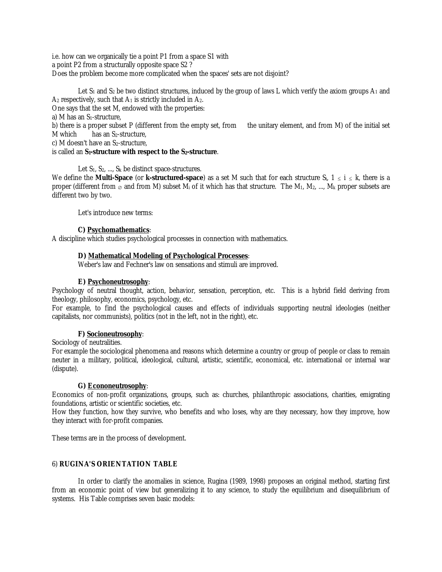i.e. how can we organically tie a point P1 from a space S1 with a point P2 from a structurally opposite space S2 ? Does the problem become more complicated when the spaces' sets are not disjoint?

Let  $S_1$  and  $S_2$  be two distinct structures, induced by the group of laws L which verify the axiom groups  $A_1$  and  $A_2$  respectively, such that  $A_1$  is strictly included in  $A_2$ .

One says that the set M, endowed with the properties:

a) M has an  $S_1$ -structure,

b) there is a proper subset P (different from the empty set, from the unitary element, and from M) of the initial set M which has an  $S_2$ -structure,

c) M doesn't have an  $S_2$ -structure,

is called an **S1-structure with respect to the S2-structure**.

Let  $S_1$ ,  $S_2$ , ...,  $S_k$  be distinct space-structures.

We define the **Multi-Space** (or **k-structured-space**) as a set M such that for each structure  $S_i$ ,  $1 \le i \le k$ , there is a proper (different from  $\phi$  and from M) subset M<sub>i</sub> of it which has that structure. The M<sub>1</sub>, M<sub>2</sub>, ..., M<sub>k</sub> proper subsets are different two by two.

Let's introduce new terms:

## **C) Psychomathematics**:

A discipline which studies psychological processes in connection with mathematics.

## **D) Mathematical Modeling of Psychological Processes**:

Weber's law and Fechner's law on sensations and stimuli are improved.

## **E) Psychoneutrosophy**:

Psychology of neutral thought, action, behavior, sensation, perception, etc. This is a hybrid field deriving from theology, philosophy, economics, psychology, etc.

For example, to find the psychological causes and effects of individuals supporting neutral ideologies (neither capitalists, nor communists), politics (not in the left, not in the right), etc.

## **F) Socioneutrosophy**:

Sociology of neutralities.

For example the sociological phenomena and reasons which determine a country or group of people or class to remain neuter in a military, political, ideological, cultural, artistic, scientific, economical, etc. international or internal war (dispute).

## **G) Econoneutrosophy**:

Economics of non-profit organizations, groups, such as: churches, philanthropic associations, charities, emigrating foundations, artistic or scientific societies, etc.

How they function, how they survive, who benefits and who loses, why are they necessary, how they improve, how they interact with for-profit companies.

These terms are in the process of development.

## 6) **RUGINA'S ORIENTATION TABLE**

In order to clarify the anomalies in science, Rugina (1989, 1998) proposes an original method, starting first from an economic point of view but generalizing it to any science, to study the equilibrium and disequilibrium of systems. His Table comprises seven basic models: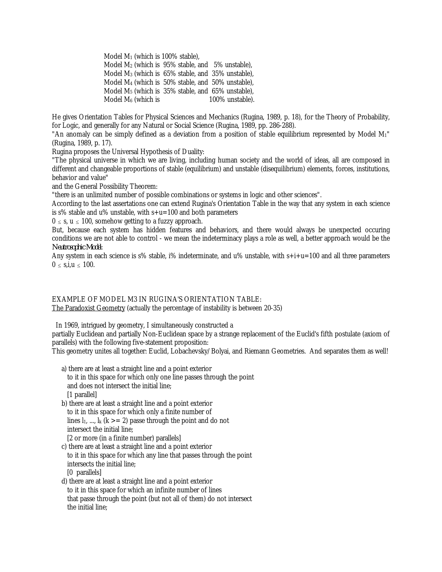Model M1 (which is 100% stable), Model M2 (which is 95% stable, and 5% unstable), Model M3 (which is 65% stable, and 35% unstable), Model M4 (which is 50% stable, and 50% unstable), Model M5 (which is 35% stable, and 65% unstable), Model M<sub>6</sub> (which is 100% unstable).

He gives Orientation Tables for Physical Sciences and Mechanics (Rugina, 1989, p. 18), for the Theory of Probability, for Logic, and generally for any Natural or Social Science (Rugina, 1989, pp. 286-288).

"An anomaly can be simply defined as a deviation from a position of stable equilibrium represented by Model M1" (Rugina, 1989, p. 17).

Rugina proposes the Universal Hypothesis of Duality:

"The physical universe in which we are living, including human society and the world of ideas, all are composed in different and changeable proportions of stable (equilibrium) and unstable (disequilibrium) elements, forces, institutions, behavior and value"

and the General Possibility Theorem:

"there is an unlimited number of possible combinations or systems in logic and other sciences".

According to the last assertations one can extend Rugina's Orientation Table in the way that any system in each science is s% stable and  $u\%$  unstable, with s+u=100 and both parameters

 $0 \le s, u \le 100$ , somehow getting to a fuzzy approach.

But, because each system has hidden features and behaviors, and there would always be unexpected occuring conditions we are not able to control - we mean the indeterminacy plays a role as well, a better approach would be the *Neutrosophic Model*:

Any system in each science is s% stable, i% indeterminate, and  $u$ % unstable, with  $s+i+u=100$  and all three parameters  $0 \le s, i, u \le 100.$ 

EXAMPLE OF MODEL M3 IN RUGINA'S ORIENTATION TABLE: The Paradoxist Geometry (actually the percentage of instability is between 20-35)

In 1969, intrigued by geometry, I simultaneously constructed a

partially Euclidean and partially Non-Euclidean space by a strange replacement of the Euclid's fifth postulate (axiom of parallels) with the following five-statement proposition:

This geometry unites all together: Euclid, Lobachevsky/Bolyai, and Riemann Geometries. And separates them as well!

 a) there are at least a straight line and a point exterior to it in this space for which only one line passes through the point and does not intersect the initial line;

[1 parallel]

- b) there are at least a straight line and a point exterior to it in this space for which only a finite number of lines  $l_1$ , ...,  $l_k$  ( $k \ge 2$ ) passe through the point and do not intersect the initial line;
	- [2 or more (in a finite number) parallels]
- c) there are at least a straight line and a point exterior to it in this space for which any line that passes through the point intersects the initial line; [0 parallels]
- d) there are at least a straight line and a point exterior to it in this space for which an infinite number of lines that passe through the point (but not all of them) do not intersect the initial line;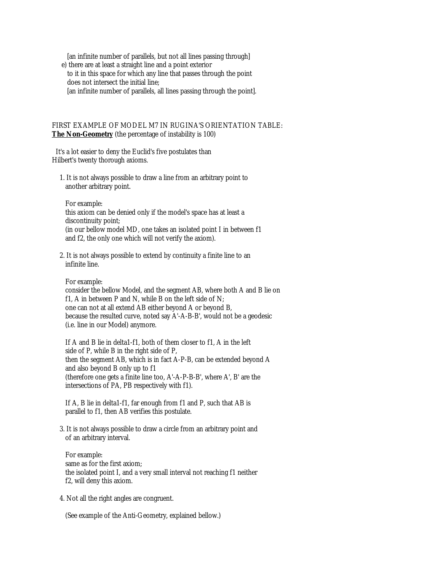[an infinite number of parallels, but not all lines passing through]

 e) there are at least a straight line and a point exterior to it in this space for which any line that passes through the point does not intersect the initial line; [an infinite number of parallels, all lines passing through the point].

## FIRST EXAMPLE OF MODEL M7 IN RUGINA'S ORIENTATION TABLE: **The Non-Geometry** (the percentage of instability is 100)

 It's a lot easier to deny the Euclid's five postulates than Hilbert's twenty thorough axioms.

 1. It is not always possible to draw a line from an arbitrary point to another arbitrary point.

 For example: this axiom can be denied only if the model's space has at least a discontinuity point; (in our bellow model MD, one takes an isolated point I in between f1 and f2, the only one which will not verify the axiom).

- 2. It is not always possible to extend by continuity a finite line to an infinite line.
	- For example:

 consider the bellow Model, and the segment AB, where both A and B lie on f1, A in between P and N, while B on the left side of N; one can not at all extend AB either beyond A or beyond B, because the resulted curve, noted say A'-A-B-B', would not be a geodesic (i.e. line in our Model) anymore.

 If A and B lie in delta1-f1, both of them closer to f1, A in the left side of P, while B in the right side of P, then the segment AB, which is in fact A-P-B, can be extended beyond A and also beyond B only up to f1 (therefore one gets a finite line too, A'-A-P-B-B', where A', B' are the intersections of PA, PB respectively with f1).

 If A, B lie in delta1-f1, far enough from f1 and P, such that AB is parallel to f1, then AB verifies this postulate.

 3. It is not always possible to draw a circle from an arbitrary point and of an arbitrary interval.

 For example: same as for the first axiom; the isolated point I, and a very small interval not reaching f1 neither f2, will deny this axiom.

4. Not all the right angles are congruent.

(See example of the Anti-Geometry, explained bellow.)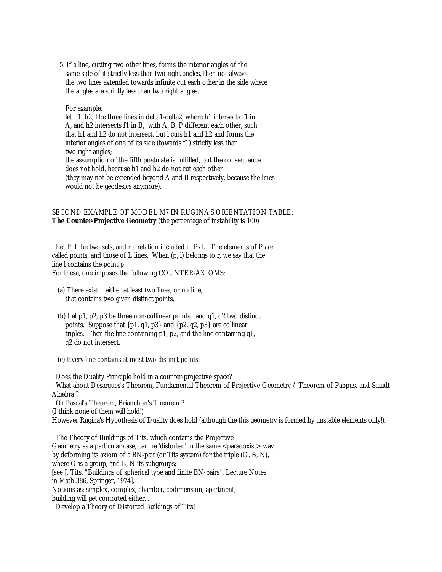5. If a line, cutting two other lines, forms the interior angles of the same side of it strictly less than two right angles, then not always the two lines extended towards infinite cut each other in the side where the angles are strictly less than two right angles.

For example:

 let h1, h2, l be three lines in delta1-delta2, where h1 intersects f1 in A, and h2 intersects f1 in B, with A, B, P different each other, such that h1 and h2 do not intersect, but l cuts h1 and h2 and forms the interior angles of one of its side (towards f1) strictly less than two right angles; the assumption of the fifth postulate is fulfilled, but the consequence does not hold, because h1 and h2 do not cut each other (they may not be extended beyond A and B respectively, because the lines

would not be geodesics anymore).

## SECOND EXAMPLE OF MODEL M7 IN RUGINA'S ORIENTATION TABLE: **The Counter-Projective Geometry** (the percentage of instability is 100)

 Let P, L be two sets, and r a relation included in PxL. The elements of P are called points, and those of L lines. When (p, l) belongs to r, we say that the line l contains the point p. For these, one imposes the following COUNTER-AXIOMS:

- (a) There exist: either at least two lines, or no line, that contains two given distinct points.
- (b) Let p1, p2, p3 be three non-collinear points, and q1, q2 two distinct points. Suppose that  $\{p1, q1, p3\}$  and  $\{p2, q2, p3\}$  are collinear triples. Then the line containing p1, p2, and the line containing q1, q2 do not intersect.

(c) Every line contains at most two distinct points.

 Does the Duality Principle hold in a counter-projective space? What about Desargues's Theorem, Fundamental Theorem of Projective Geometry / Theorem of Pappus, and Staudt Algebra ? Or Pascal's Theorem, Brianchon's Theorem ?

(I think none of them will hold!)

However Rugina's Hypothesis of Duality does hold (although the this geometry is formed by unstable elements only!).

 The Theory of Buildings of Tits, which contains the Projective Geometry as a particular case, can be 'distorted' in the same  $\langle$  paradoxist $>$  way by deforming its axiom of a BN-pair (or Tits system) for the triple (G, B, N), where G is a group, and B, N its subgroups; [see J. Tits, "Buildings of spherical type and finite BN-pairs", Lecture Notes in Math 386, Springer, 1974]. Notions as: simplex, complex, chamber, codimension, apartment, building will get contorted either... Develop a Theory of Distorted Buildings of Tits!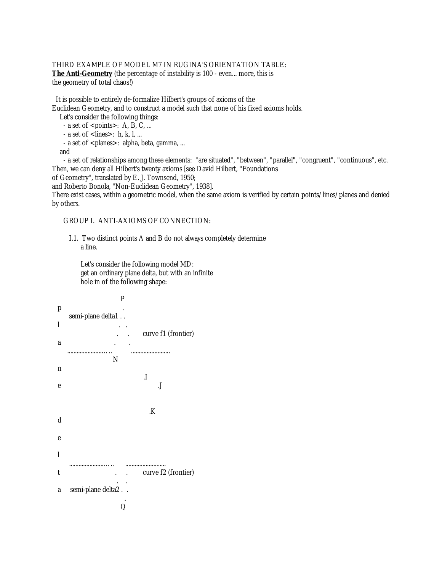## THIRD EXAMPLE OF MODEL M7 IN RUGINA'S ORIENTATION TABLE: **The Anti-Geometry** (the percentage of instability is 100 - even... more, this is the geometry of total chaos!)

 It is possible to entirely de-formalize Hilbert's groups of axioms of the Euclidean Geometry, and to construct a model such that none of his fixed axioms holds.

Let's consider the following things:

- a set of  $<$ points $>$ : A, B, C, ...

- a set of  $\langle$  lines $>$ : h, k, l, ...

- a set of <planes>: alpha, beta, gamma, ...

and

 - a set of relationships among these elements: "are situated", "between", "parallel", "congruent", "continuous", etc. Then, we can deny all Hilbert's twenty axioms [see David Hilbert, "Foundations

of Geometry", translated by E. J. Townsend, 1950;

and Roberto Bonola, "Non-Euclidean Geometry", 1938].

There exist cases, within a geometric model, when the same axiom is verified by certain points/lines/planes and denied by others.

## GROUP I. ANTI-AXIOMS OF CONNECTION:

 I.1. Two distinct points A and B do not always completely determine a line.

 Let's consider the following model MD: get an ordinary plane delta, but with an infinite hole in of the following shape:

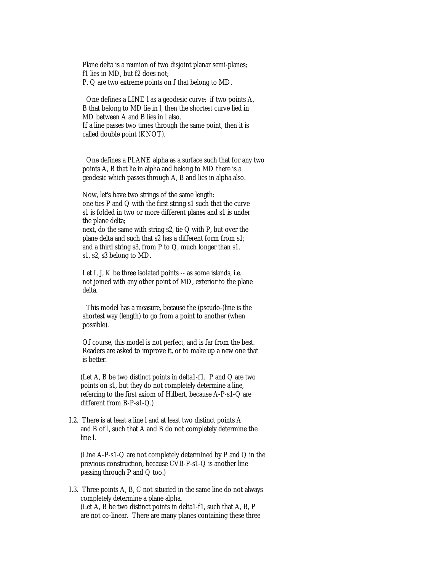Plane delta is a reunion of two disjoint planar semi-planes; f1 lies in MD, but f2 does not; P, Q are two extreme points on f that belong to MD.

 One defines a LINE l as a geodesic curve: if two points A, B that belong to MD lie in l, then the shortest curve lied in MD between A and B lies in l also. If a line passes two times through the same point, then it is called double point (KNOT).

 One defines a PLANE alpha as a surface such that for any two points A, B that lie in alpha and belong to MD there is a geodesic which passes through A, B and lies in alpha also.

 Now, let's have two strings of the same length: one ties P and Q with the first string s1 such that the curve s1 is folded in two or more different planes and s1 is under the plane delta;

 next, do the same with string s2, tie Q with P, but over the plane delta and such that s2 has a different form from s1; and a third string s3, from P to Q, much longer than s1. s1, s2, s3 belong to MD.

Let I, J, K be three isolated points -- as some islands, i.e. not joined with any other point of MD, exterior to the plane delta.

 This model has a measure, because the (pseudo-)line is the shortest way (length) to go from a point to another (when possible).

 Of course, this model is not perfect, and is far from the best. Readers are asked to improve it, or to make up a new one that is better.

 (Let A, B be two distinct points in delta1-f1. P and Q are two points on s1, but they do not completely determine a line, referring to the first axiom of Hilbert, because A-P-s1-Q are different from B-P-s1-Q.)

 I.2. There is at least a line l and at least two distinct points A and B of l, such that A and B do not completely determine the line l.

 (Line A-P-s1-Q are not completely determined by P and Q in the previous construction, because CVB-P-s1-Q is another line passing through P and Q too.)

 I.3. Three points A, B, C not situated in the same line do not always completely determine a plane alpha. (Let A, B be two distinct points in delta1-f1, such that A, B, P are not co-linear. There are many planes containing these three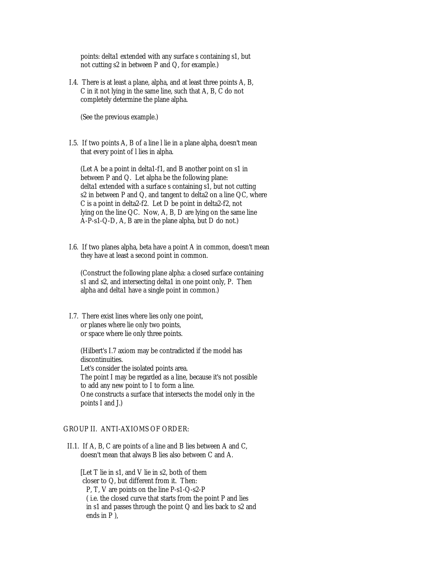points: delta1 extended with any surface s containing s1, but not cutting s2 in between P and Q, for example.)

 I.4. There is at least a plane, alpha, and at least three points A, B, C in it not lying in the same line, such that A, B, C do not completely determine the plane alpha.

(See the previous example.)

 I.5. If two points A, B of a line l lie in a plane alpha, doesn't mean that every point of l lies in alpha.

 (Let A be a point in delta1-f1, and B another point on s1 in between P and Q. Let alpha be the following plane: delta1 extended with a surface s containing s1, but not cutting s2 in between P and Q, and tangent to delta2 on a line QC, where C is a point in delta2-f2. Let D be point in delta2-f2, not lying on the line QC. Now, A, B, D are lying on the same line A-P-s1-Q-D, A, B are in the plane alpha, but D do not.)

 I.6. If two planes alpha, beta have a point A in common, doesn't mean they have at least a second point in common.

 (Construct the following plane alpha: a closed surface containing s1 and s2, and intersecting delta1 in one point only, P. Then alpha and delta1 have a single point in common.)

 I.7. There exist lines where lies only one point, or planes where lie only two points, or space where lie only three points.

 (Hilbert's I.7 axiom may be contradicted if the model has discontinuities. Let's consider the isolated points area. The point I may be regarded as a line, because it's not possible to add any new point to I to form a line. One constructs a surface that intersects the model only in the points I and J.)

## GROUP II. ANTI-AXIOMS OF ORDER:

 II.1. If A, B, C are points of a line and B lies between A and C, doesn't mean that always B lies also between C and A.

 [Let T lie in s1, and V lie in s2, both of them closer to Q, but different from it. Then: P, T, V are points on the line P-s1-Q-s2-P ( i.e. the closed curve that starts from the point P and lies in s1 and passes through the point Q and lies back to s2 and ends in P ),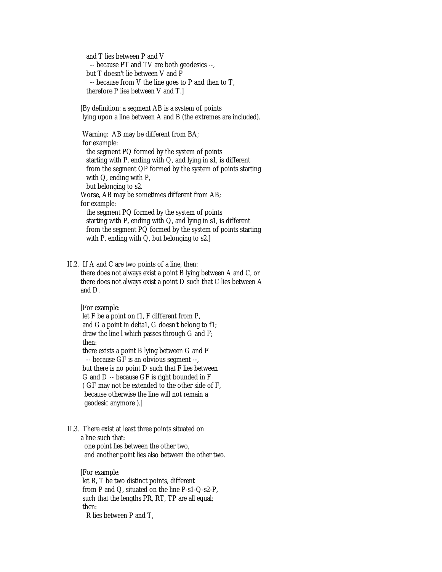and T lies between P and V -- because PT and TV are both geodesics --, but T doesn't lie between V and P -- because from V the line goes to P and then to T, therefore P lies between V and T.]

 [By definition: a segment AB is a system of points lying upon a line between A and B (the extremes are included).

 Warning: AB may be different from BA; for example: the segment PQ formed by the system of points starting with P, ending with Q, and lying in s1, is different from the segment QP formed by the system of points starting with Q, ending with P, but belonging to s2. Worse, AB may be sometimes different from AB; for example: the segment PQ formed by the system of points starting with P, ending with Q, and lying in s1, is different from the segment PQ formed by the system of points starting with P, ending with Q, but belonging to s2.]

 II.2. If A and C are two points of a line, then: there does not always exist a point B lying between A and C, or there does not always exist a point D such that C lies between A and D.

[For example:

 let F be a point on f1, F different from P, and G a point in delta1, G doesn't belong to f1; draw the line l which passes through G and F; then: there exists a point B lying between G and F

 -- because GF is an obvious segment --, but there is no point D such that F lies between G and D -- because GF is right bounded in F ( GF may not be extended to the other side of F, because otherwise the line will not remain a geodesic anymore ).]

## II.3. There exist at least three points situated on

 a line such that: one point lies between the other two, and another point lies also between the other two.

[For example:

 let R, T be two distinct points, different from P and Q, situated on the line P-s1-Q-s2-P, such that the lengths PR, RT, TP are all equal; then:

R lies between P and T,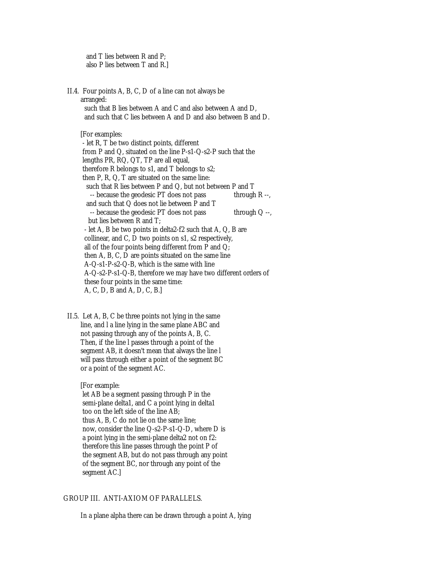and T lies between R and P; also P lies between T and R.]

II.4. Four points A, B, C, D of a line can not always be

 arranged: such that B lies between A and C and also between A and D, and such that C lies between A and D and also between B and D. [For examples: - let R, T be two distinct points, different from P and Q, situated on the line P-s1-Q-s2-P such that the lengths PR, RQ, QT, TP are all equal, therefore R belongs to s1, and T belongs to s2; then P, R, Q, T are situated on the same line: such that R lies between P and Q, but not between P and T  $-$  because the geodesic PT does not pass through R  $-$ , and such that Q does not lie between P and T -- because the geodesic PT does not pass through Q --, but lies between R and T; - let A, B be two points in delta2-f2 such that A, Q, B are collinear, and C, D two points on s1, s2 respectively, all of the four points being different from  $\overrightarrow{P}$  and  $\overrightarrow{Q}$ ; then A, B, C, D are points situated on the same line A-Q-s1-P-s2-Q-B, which is the same with line A-Q-s2-P-s1-Q-B, therefore we may have two different orders of these four points in the same time: A, C, D, B and A, D, C, B.]

 II.5. Let A, B, C be three points not lying in the same line, and l a line lying in the same plane ABC and not passing through any of the points A, B, C. Then, if the line l passes through a point of the segment AB, it doesn't mean that always the line l will pass through either a point of the segment BC or a point of the segment AC.

[For example:

 let AB be a segment passing through P in the semi-plane delta1, and C a point lying in delta1 too on the left side of the line AB; thus A, B, C do not lie on the same line; now, consider the line Q-s2-P-s1-Q-D, where D is a point lying in the semi-plane delta2 not on f2: therefore this line passes through the point P of the segment AB, but do not pass through any point of the segment BC, nor through any point of the segment AC.]

## GROUP III. ANTI-AXIOM OF PARALLELS.

In a plane alpha there can be drawn through a point A, lying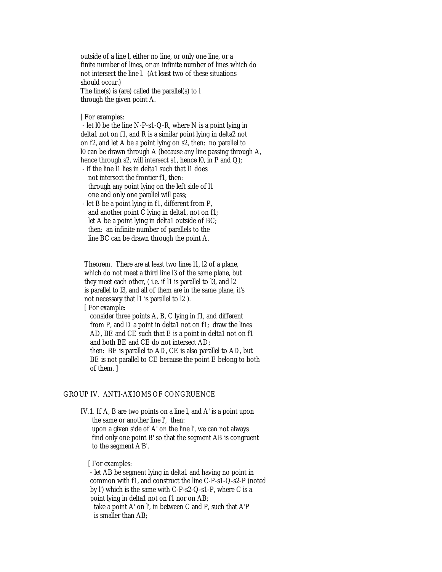outside of a line l, either no line, or only one line, or a finite number of lines, or an infinite number of lines which do not intersect the line l. (At least two of these situations should occur.) The line(s) is (are) called the parallel(s) to l through the given point A.

[ For examples:

 - let l0 be the line N-P-s1-Q-R, where N is a point lying in delta1 not on f1, and R is a similar point lying in delta2 not on f2, and let A be a point lying on s2, then: no parallel to l0 can be drawn through A (because any line passing through A, hence through s2, will intersect s1, hence  $[0, \text{ in } P \text{ and } Q)$ ;

- if the line l1 lies in delta1 such that l1 does not intersect the frontier f1, then: through any point lying on the left side of l1 one and only one parallel will pass;
- let B be a point lying in f1, different from P, and another point C lying in delta1, not on f1; let A be a point lying in delta1 outside of BC; then: an infinite number of parallels to the line BC can be drawn through the point A.

 Theorem. There are at least two lines l1, l2 of a plane, which do not meet a third line l3 of the same plane, but they meet each other, ( i.e. if l1 is parallel to l3, and l2 is parallel to l3, and all of them are in the same plane, it's not necessary that l1 is parallel to l2 ).

[ For example:

 consider three points A, B, C lying in f1, and different from P, and D a point in delta1 not on f1; draw the lines AD, BE and CE such that E is a point in delta1 not on f1 and both BE and CE do not intersect AD; then: BE is parallel to AD, CE is also parallel to AD, but BE is not parallel to CE because the point E belong to both of them. ]

#### GROUP IV. ANTI-AXIOMS OF CONGRUENCE

 IV.1. If A, B are two points on a line l, and A' is a point upon the same or another line l', then: upon a given side of A' on the line l', we can not always find only one point B' so that the segment AB is congruent to the segment A'B'.

[ For examples:

 - let AB be segment lying in delta1 and having no point in common with f1, and construct the line C-P-s1-Q-s2-P (noted by l') which is the same with C-P-s2-Q-s1-P, where C is a point lying in delta1 not on f1 nor on AB; take a point A' on l', in between C and P, such that A'P is smaller than AB;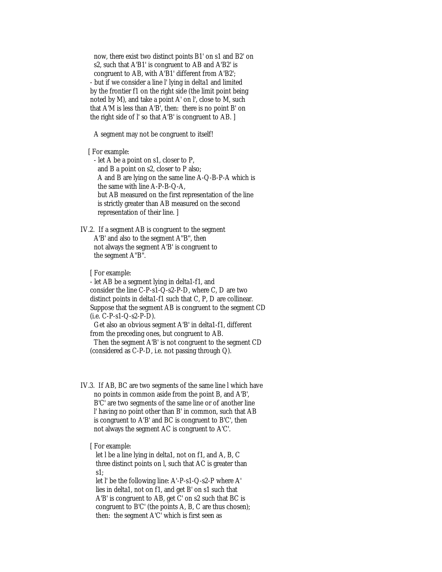now, there exist two distinct points B1' on s1 and B2' on s2, such that A'B1' is congruent to AB and A'B2' is congruent to AB, with A'B1' different from A'B2'; - but if we consider a line l' lying in delta1 and limited by the frontier f1 on the right side (the limit point being noted by M), and take a point A' on l', close to M, such that A'M is less than A'B', then: there is no point B' on the right side of l' so that A'B' is congruent to AB. ]

A segment may not be congruent to itself!

[ For example:

 - let A be a point on s1, closer to P, and B a point on s2, closer to P also; A and B are lying on the same line A-Q-B-P-A which is the same with line A-P-B-Q-A, but AB measured on the first representation of the line is strictly greater than AB measured on the second representation of their line. ]

 IV.2. If a segment AB is congruent to the segment A'B' and also to the segment A''B'', then not always the segment A'B' is congruent to the segment A''B''.

[ For example:

 - let AB be a segment lying in delta1-f1, and consider the line C-P-s1-Q-s2-P-D, where C, D are two distinct points in delta1-f1 such that C, P, D are collinear. Suppose that the segment AB is congruent to the segment CD (i.e. C-P-s1-Q-s2-P-D). Get also an obvious segment A'B' in delta1-f1, different

 from the preceding ones, but congruent to AB. Then the segment A'B' is not congruent to the segment CD (considered as C-P-D, i.e. not passing through Q).

 IV.3. If AB, BC are two segments of the same line l which have no points in common aside from the point B, and A'B', B'C' are two segments of the same line or of another line l' having no point other than B' in common, such that AB is congruent to A'B' and BC is congruent to B'C', then not always the segment AC is congruent to A'C'.

[ For example:

 let l be a line lying in delta1, not on f1, and A, B, C three distinct points on l, such that AC is greater than s1;

 let l' be the following line: A'-P-s1-Q-s2-P where A' lies in delta1, not on f1, and get B' on s1 such that A'B' is congruent to AB, get C' on s2 such that BC is congruent to B'C' (the points A, B, C are thus chosen); then: the segment A'C' which is first seen as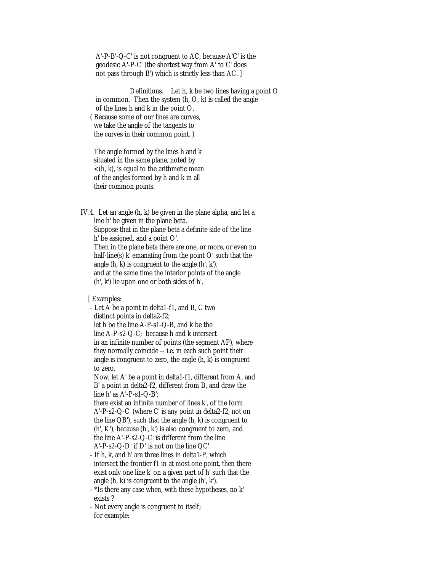A'-P-B'-Q-C' is not congruent to AC, because A'C' is the geodesic A'-P-C' (the shortest way from A' to C' does not pass through B') which is strictly less than AC. ]

 Definitions. Let h, k be two lines having a point O in common. Then the system (h, O, k) is called the angle of the lines h and k in the point O. ( Because some of our lines are curves, we take the angle of the tangents to the curves in their common point. )

 The angle formed by the lines h and k situated in the same plane, noted by  $\langle$ (h, k), is equal to the arithmetic mean of the angles formed by h and k in all their common points.

 IV.4. Let an angle (h, k) be given in the plane alpha, and let a line h' be given in the plane beta. Suppose that in the plane beta a definite side of the line h' be assigned, and a point O'. Then in the plane beta there are one, or more, or even no half-line(s) k' emanating from the point O' such that the angle  $(h, k)$  is congruent to the angle  $(h', k')$ , and at the same time the interior points of the angle (h', k') lie upon one or both sides of h'.

[ Examples:

 - Let A be a point in delta1-f1, and B, C two distinct points in delta2-f2; let h be the line A-P-s1-Q-B, and k be the line A-P-s2-Q-C; because h and k intersect in an infinite number of points (the segment AP), where they normally coincide -- i.e. in each such point their angle is congruent to zero, the angle  $(h, k)$  is congruent to zero.

 Now, let A' be a point in delta1-f1, different from A, and B' a point in delta2-f2, different from B, and draw the line h' as A'-P-s1-Q-B';

 there exist an infinite number of lines k', of the form A'-P-s2-Q-C' (where C' is any point in delta2-f2, not on the line QB'), such that the angle (h, k) is congruent to (h', K'), because (h', k') is also congruent to zero, and the line A'-P-s2-Q-C' is different from the line A'-P-s2-Q-D' if D' is not on the line QC'.

- If h, k, and h' are three lines in delta1-P, which intersect the frontier f1 in at most one point, then there exist only one line k' on a given part of h' such that the angle (h, k) is congruent to the angle (h', k').
- \*Is there any case when, with these hypotheses, no k' exists ?
- Not every angle is congruent to itself; for example: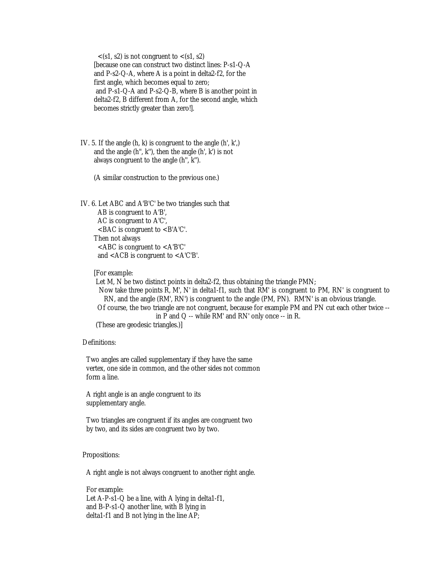$\langle$ (s1, s2) is not congruent to  $\langle$ (s1, s2) [because one can construct two distinct lines: P-s1-Q-A and P-s2-Q-A, where A is a point in delta2-f2, for the first angle, which becomes equal to zero; and P-s1-Q-A and P-s2-Q-B, where B is another point in delta2-f2, B different from A, for the second angle, which becomes strictly greater than zero!].

 IV. 5. If the angle (h, k) is congruent to the angle (h', k',) and the angle  $(h'', k'')$ , then the angle  $(h', k'')$  is not always congruent to the angle (h'', k'').

(A similar construction to the previous one.)

 IV. 6. Let ABC and A'B'C' be two triangles such that AB is congruent to A'B', AC is congruent to A'C',  $\langle$ BAC is congruent to  $\langle$ B'A'C'. Then not always <ABC is congruent to <A'B'C' and <ACB is congruent to <A'C'B'.

[For example:

Let M, N be two distinct points in delta2-f2, thus obtaining the triangle PMN;

 Now take three points R, M', N' in delta1-f1, such that RM' is congruent to PM, RN' is congruent to RN, and the angle (RM', RN') is congruent to the angle (PM, PN). RM'N' is an obvious triangle.

 Of course, the two triangle are not congruent, because for example PM and PN cut each other twice - in P and Q -- while RM' and RN' only once -- in R.

(These are geodesic triangles.)]

#### Definitions:

 Two angles are called supplementary if they have the same vertex, one side in common, and the other sides not common form a line.

 A right angle is an angle congruent to its supplementary angle.

 Two triangles are congruent if its angles are congruent two by two, and its sides are congruent two by two.

#### Propositions:

A right angle is not always congruent to another right angle.

 For example: Let A-P-s1-Q be a line, with A lying in delta1-f1, and B-P-s1-Q another line, with B lying in delta1-f1 and B not lying in the line AP;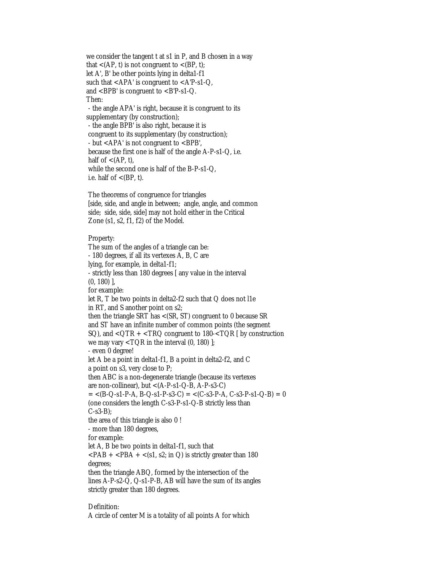we consider the tangent t at s1 in P, and B chosen in a way that  $\langle AP, t \rangle$  is not congruent to  $\langle BP, t \rangle$ ; let A', B' be other points lying in delta1-f1 such that  $\langle APA' \rangle$  is congruent to  $\langle AP-S1-Q \rangle$ , and  $\langle$ BPB' is congruent to  $\langle$ B'P-s1-Q. Then: - the angle APA' is right, because it is congruent to its supplementary (by construction); - the angle BPB' is also right, because it is congruent to its supplementary (by construction); - but <APA' is not congruent to <BPB', because the first one is half of the angle A-P-s1-Q, i.e. half of  $\lt$ (AP, t). while the second one is half of the B-P-s1-Q, i.e. half of  $\langle BP, t \rangle$ .

 The theorems of congruence for triangles [side, side, and angle in between; angle, angle, and common side; side, side, side] may not hold either in the Critical Zone (s1, s2, f1, f2) of the Model.

#### Property:

 The sum of the angles of a triangle can be: - 180 degrees, if all its vertexes A, B, C are lying, for example, in delta1-f1; - strictly less than 180 degrees [ any value in the interval (0, 180) ], for example: let R, T be two points in delta2-f2 such that Q does not l1e in RT, and S another point on s2; then the triangle SRT has <(SR, ST) congruent to 0 because SR and ST have an infinite number of common points (the segment SQ), and  $\langle$  QTR +  $\langle$ TRQ congruent to 180- $\langle$ TQR | by construction we may vary  $<$ TQR in the interval  $(0, 180)$  ]; - even 0 degree! let A be a point in delta1-f1, B a point in delta2-f2, and C a point on s3, very close to P; then ABC is a non-degenerate triangle (because its vertexes are non-collinear), but <(A-P-s1-Q-B, A-P-s3-C)  $=$  <(B-Q-s1-P-A, B-Q-s1-P-s3-C) = <(C-s3-P-A, C-s3-P-s1-Q-B) = 0 (one considers the length C-s3-P-s1-Q-B strictly less than C-s3-B); the area of this triangle is also 0 ! - more than 180 degrees, for example: let A, B be two points in delta1-f1, such that  $\langle PAB + \langle PBA + \langle (s1, s2; in Q) \rangle \rangle$  is strictly greater than 180 degrees; then the triangle ABQ, formed by the intersection of the lines A-P-s2-Q, Q-s1-P-B, AB will have the sum of its angles strictly greater than 180 degrees.

 Definition: A circle of center M is a totality of all points A for which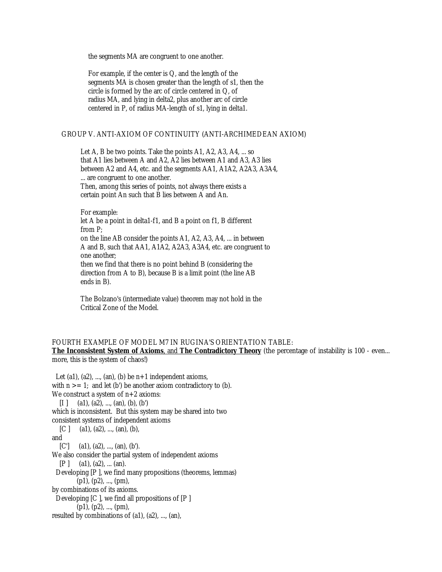the segments MA are congruent to one another.

 For example, if the center is Q, and the length of the segments MA is chosen greater than the length of s1, then the circle is formed by the arc of circle centered in Q, of radius MA, and lying in delta2, plus another arc of circle centered in P, of radius MA-length of s1, lying in delta1.

#### GROUP V. ANTI-AXIOM OF CONTINUITY (ANTI-ARCHIMEDEAN AXIOM)

 Let A, B be two points. Take the points A1, A2, A3, A4, ... so that A1 lies between A and A2, A2 lies between A1 and A3, A3 lies between A2 and A4, etc. and the segments AA1, A1A2, A2A3, A3A4, ... are congruent to one another. Then, among this series of points, not always there exists a certain point An such that B lies between A and An.

 For example: let A be a point in delta1-f1, and B a point on f1, B different from P; on the line AB consider the points A1, A2, A3, A4, ... in between A and B, such that AA1, A1A2, A2A3, A3A4, etc. are congruent to one another; then we find that there is no point behind B (considering the direction from A to B), because B is a limit point (the line AB ends in B).

 The Bolzano's (intermediate value) theorem may not hold in the Critical Zone of the Model.

# FOURTH EXAMPLE OF MODEL M7 IN RUGINA'S ORIENTATION TABLE:

**The Inconsistent System of Axioms**, and **The Contradictory Theory** (the percentage of instability is 100 - even... more, this is the system of chaos!)

Let  $(a1)$ ,  $(a2)$ , ...,  $(an)$ ,  $(b)$  be  $n+1$  independent axioms, with  $n \geq 1$ ; and let (b') be another axiom contradictory to (b). We construct a system of  $n+2$  axioms:  $[I]$  (a1), (a2), ..., (an), (b), (b') which is inconsistent. But this system may be shared into two consistent systems of independent axioms  $[C]$  (a1), (a2), ..., (an), (b), and  $[C']$  (a1), (a2), ..., (an), (b'). We also consider the partial system of independent axioms  $[P]$  (a1), (a2), ... (an). Developing [P ], we find many propositions (theorems, lemmas) (p1), (p2), ..., (pm), by combinations of its axioms. Developing [C ], we find all propositions of [P ]  $(p1)$ ,  $(p2)$ , ...,  $(pm)$ , resulted by combinations of (a1), (a2), ..., (an),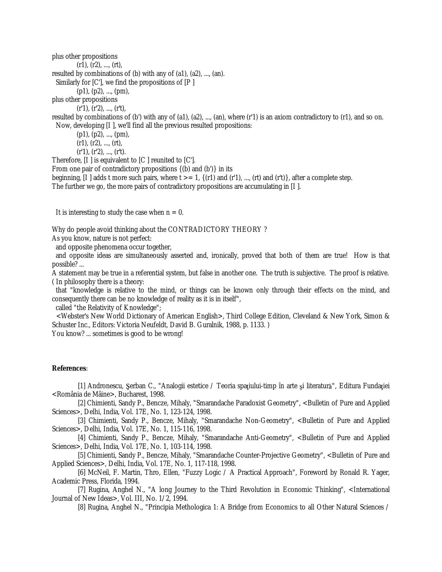plus other propositions  $(r1)$ ,  $(r2)$ , ...,  $(rt)$ , resulted by combinations of (b) with any of (a1), (a2), ..., (an). Similarly for  $[C]$ , we find the propositions of  $[P]$  (p1), (p2), ..., (pm), plus other propositions  $(r'1)$ ,  $(r'2)$ , ...,  $(r't)$ , resulted by combinations of (b') with any of (a1), (a2), ..., (an), where  $(r'1)$  is an axiom contradictory to  $(r1)$ , and so on. Now, developing [I ], we'll find all the previous resulted propositions: (p1), (p2), ..., (pm),  $(r1)$ ,  $(r2)$ , ...,  $(rt)$ ,  $(r'1)$ ,  $(r'2)$ , ...,  $(r't)$ . Therefore, [I ] is equivalent to [C ] reunited to [C']. From one pair of contradictory propositions  $\{(\mathbf{b})\}$  and  $(\mathbf{b}')\}$  in its beginning, [I ] adds t more such pairs, where  $t \ge 1$ ,  $\{(r1)$  and  $(r1)$ , ..., (rt) and  $(r't)$ }, after a complete step. The further we go, the more pairs of contradictory propositions are accumulating in [I ].

It is interesting to study the case when  $n = 0$ .

Why do people avoid thinking about the CONTRADICTORY THEORY ?

As you know, nature is not perfect:

and opposite phenomena occur together,

 and opposite ideas are simultaneously asserted and, ironically, proved that both of them are true! How is that possible? ...

A statement may be true in a referential system, but false in another one. The truth is subjective. The proof is relative. ( In philosophy there is a theory:

 that "knowledge is relative to the mind, or things can be known only through their effects on the mind, and consequently there can be no knowledge of reality as it is in itself",

called "the Relativity of Knowledge";

 <Webster's New World Dictionary of American English>, Third College Edition, Cleveland & New York, Simon & Schuster Inc., Editors: Victoria Neufeldt, David B. Guralnik, 1988, p. 1133. )

You know? ... sometimes is good to be wrong!

#### **References**:

[1] Andronescu, Serban C., "Analogii estetice / Teoria spatiului-timp în arte si literatură", Editura Fundației <România de Mâine>, Bucharest, 1998.

[2] Chimienti, Sandy P., Bencze, Mihaly, "Smarandache Paradoxist Geometry", <Bulletin of Pure and Applied Sciences>, Delhi, India, Vol. 17E, No. 1, 123-124, 1998.

[3] Chimienti, Sandy P., Bencze, Mihaly, "Smarandache Non-Geometry", <Bulletin of Pure and Applied Sciences>, Delhi, India, Vol. 17E, No. 1, 115-116, 1998.

[4] Chimienti, Sandy P., Bencze, Mihaly, "Smarandache Anti-Geometry", <Bulletin of Pure and Applied Sciences>, Delhi, India, Vol. 17E, No. 1, 103-114, 1998.

[5] Chimienti, Sandy P., Bencze, Mihaly, "Smarandache Counter-Projective Geometry", <Bulletin of Pure and Applied Sciences>, Delhi, India, Vol. 17E, No. 1, 117-118, 1998.

[6] McNeil, F. Martin, Thro, Ellen, "Fuzzy Logic / A Practical Approach", Foreword by Ronald R. Yager, Academic Press, Florida, 1994.

[7] Rugina, Anghel N., "A long Journey to the Third Revolution in Economic Thinking", <International Journal of New Ideas>, Vol. III, No. 1/2, 1994.

[8] Rugina, Anghel N., "Principia Methologica 1: A Bridge from Economics to all Other Natural Sciences /